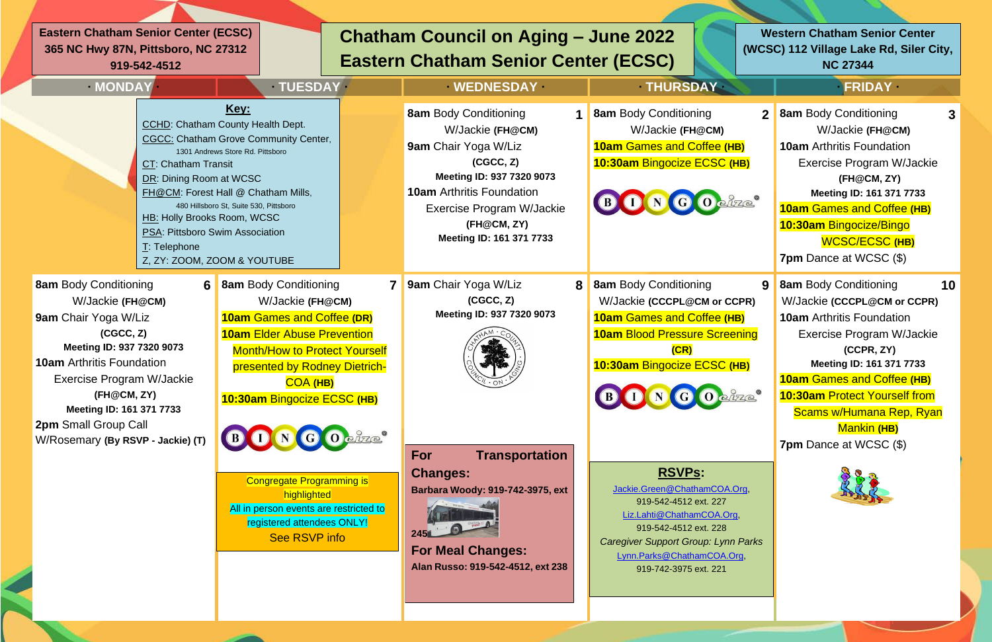| $\mathbf{2}$           | <b>8am Body Conditioning</b><br>3    |
|------------------------|--------------------------------------|
|                        | W/Jackie (FH@CM)                     |
| HB)                    | <b>10am</b> Arthritis Foundation     |
| (HB)                   | <b>Exercise Program W/Jackie</b>     |
|                        | (FH@CM, ZY)                          |
| 2700                   | Meeting ID: 161 371 7733             |
|                        | <b>10am Games and Coffee (HB)</b>    |
|                        | 10:30am Bingocize/Bingo              |
|                        | <b>WCSC/ECSC (HB)</b>                |
|                        | 7pm Dance at WCSC (\$)               |
| 9                      | <b>8am Body Conditioning</b><br>10   |
| CPR)                   | W/Jackie (CCCPL@CM or CCPR)          |
| HB)                    | <b>10am</b> Arthritis Foundation     |
| ening                  | <b>Exercise Program W/Jackie</b>     |
|                        | (CCPR, ZY)                           |
| (HB)                   | Meeting ID: 161 371 7733             |
|                        | <b>10am Games and Coffee (HB)</b>    |
| 0/70                   | <b>10:30am Protect Yourself from</b> |
|                        | Scams w/Humana Rep, Ryan             |
|                        | <b>Mankin (HB)</b>                   |
|                        | 7pm Dance at WCSC (\$)               |
|                        |                                      |
| $.$ Org                |                                      |
| <u>rg</u>              |                                      |
|                        |                                      |
| <i><b>in Parks</b></i> |                                      |
| <u>Org,</u>            |                                      |
|                        |                                      |
|                        |                                      |
|                        |                                      |

| · MONDAY                                                                                                                                                                                                                                                                                           | <b>TUESDAY</b>                                                                                                                                                                                                                                                                                                                                                                                                    | <b>WEDNESDAY</b>                                                                                                                                                                                                                      | <b>THURSDAY</b>                                                                                                                                                                                                                                                                                                                                                                                                                  | <b>FRIDAY</b>                                                                                                                                                                                                                                                                          |
|----------------------------------------------------------------------------------------------------------------------------------------------------------------------------------------------------------------------------------------------------------------------------------------------------|-------------------------------------------------------------------------------------------------------------------------------------------------------------------------------------------------------------------------------------------------------------------------------------------------------------------------------------------------------------------------------------------------------------------|---------------------------------------------------------------------------------------------------------------------------------------------------------------------------------------------------------------------------------------|----------------------------------------------------------------------------------------------------------------------------------------------------------------------------------------------------------------------------------------------------------------------------------------------------------------------------------------------------------------------------------------------------------------------------------|----------------------------------------------------------------------------------------------------------------------------------------------------------------------------------------------------------------------------------------------------------------------------------------|
| <b>CT: Chatham Transit</b><br>DR: Dining Room at WCSC<br>T: Telephone                                                                                                                                                                                                                              | <u>Key:</u><br><b>CCHD: Chatham County Health Dept.</b><br><b>CGCC:</b> Chatham Grove Community Center,<br>1301 Andrews Store Rd. Pittsboro<br>FH@CM: Forest Hall @ Chatham Mills,<br>480 Hillsboro St, Suite 530, Pittsboro<br>HB: Holly Brooks Room, WCSC<br>PSA: Pittsboro Swim Association<br>Z, ZY: ZOOM, ZOOM & YOUTUBE                                                                                     | <b>8am Body Conditioning</b><br>W/Jackie (FH@CM)<br>9am Chair Yoga W/Liz<br>(CGCC, Z)<br>Meeting ID: 937 7320 9073<br><b>10am</b> Arthritis Foundation<br><b>Exercise Program W/Jackie</b><br>(FH@CM, ZY)<br>Meeting ID: 161 371 7733 | <b>8am Body Conditioning</b><br>$\mathbf{2}$<br>W/Jackie (FH@CM)<br><b>10am Games and Coffee (HB)</b><br>10:30am Bingocize ECSC (HB)<br>BONGO OF REC                                                                                                                                                                                                                                                                             | <b>8am Body Conditioning</b><br>W/Jackie (FH@C<br><b>10am</b> Arthritis Foundation<br>Exercise Program W<br>(FH@CM, ZY)<br><b>Meeting ID: 161 371</b><br><b>10am Games and Coffe</b><br>10:30am Bingocize/Bing<br><b>WCSC/ECSC (I</b><br>7pm Dance at WCSC (9                          |
| <b>8am Body Conditioning</b><br>W/Jackie (FH@CM)<br>9am Chair Yoga W/Liz<br>(CGCC, Z)<br>Meeting ID: 937 7320 9073<br><b>10am</b> Arthritis Foundation<br><b>Exercise Program W/Jackie</b><br>(FH@CM, ZY)<br>Meeting ID: 161 371 7733<br>2pm Small Group Call<br>W/Rosemary (By RSVP - Jackie) (T) | <b>6</b> 8am Body Conditioning<br>W/Jackie (FH@CM)<br><b>10am Games and Coffee (DR)</b><br><b>10am Elder Abuse Prevention</b><br><b>Month/How to Protect Yourself</b><br>presented by Rodney Dietrich-<br><b>COA (HB)</b><br>10:30am Bingocize ECSC (HB)<br>BONGOodze<br><b>Congregate Programming is</b><br>highlighted<br>All in person events are restricted to<br>registered attendees ONLY!<br>See RSVP info | 9am Chair Yoga W/Liz<br>8<br>(CGCC, Z)<br>Meeting ID: 937 7320 9073<br><b>Transportation</b><br><b>For</b><br><b>Changes:</b><br>Barbara Woody: 919-742-3975, ext<br><b>For Meal Changes:</b><br>Alan Russo: 919-542-4512, ext 238    | <b>8am Body Conditioning</b><br>9<br>W/Jackie (CCCPL@CM or CCPR)<br><b>10am Games and Coffee (HB)</b><br><b>10am Blood Pressure Screening</b><br>(CR)<br>10:30am Bingocize ECSC (HB)<br>BONGO odze<br><b>RSVPs:</b><br>Jackie.Green@ChathamCOA.Org,<br>919-542-4512 ext. 227<br>Liz.Lahti@ChathamCOA.Org,<br>919-542-4512 ext. 228<br>Caregiver Support Group: Lynn Parks<br>Lynn.Parks@ChathamCOA.Org,<br>919-742-3975 ext. 221 | <b>8am Body Conditioning</b><br>W/Jackie (CCCPL@CM c<br><b>10am</b> Arthritis Foundation<br>Exercise Program W<br>(CCPR, ZY)<br><b>Meeting ID: 161 371</b><br><b>10am Games and Coffe</b><br>10:30am Protect Yours<br>Scams w/Humana Re<br><b>Mankin (HB)</b><br>7pm Dance at WCSC (9) |

**Eastern Chatham Senior Center (ECSC) 365 NC Hwy 87N, Pittsboro, NC 27312 919-542-4512**

## **Chatham Council on Aging – June 2022 Eastern Chatham Senior Center (ECSC)**

## **Western Chatham Senior Center (WCSC) 112 Village Lake Rd, Siler City, NC 27344**

## $PRIDAY$